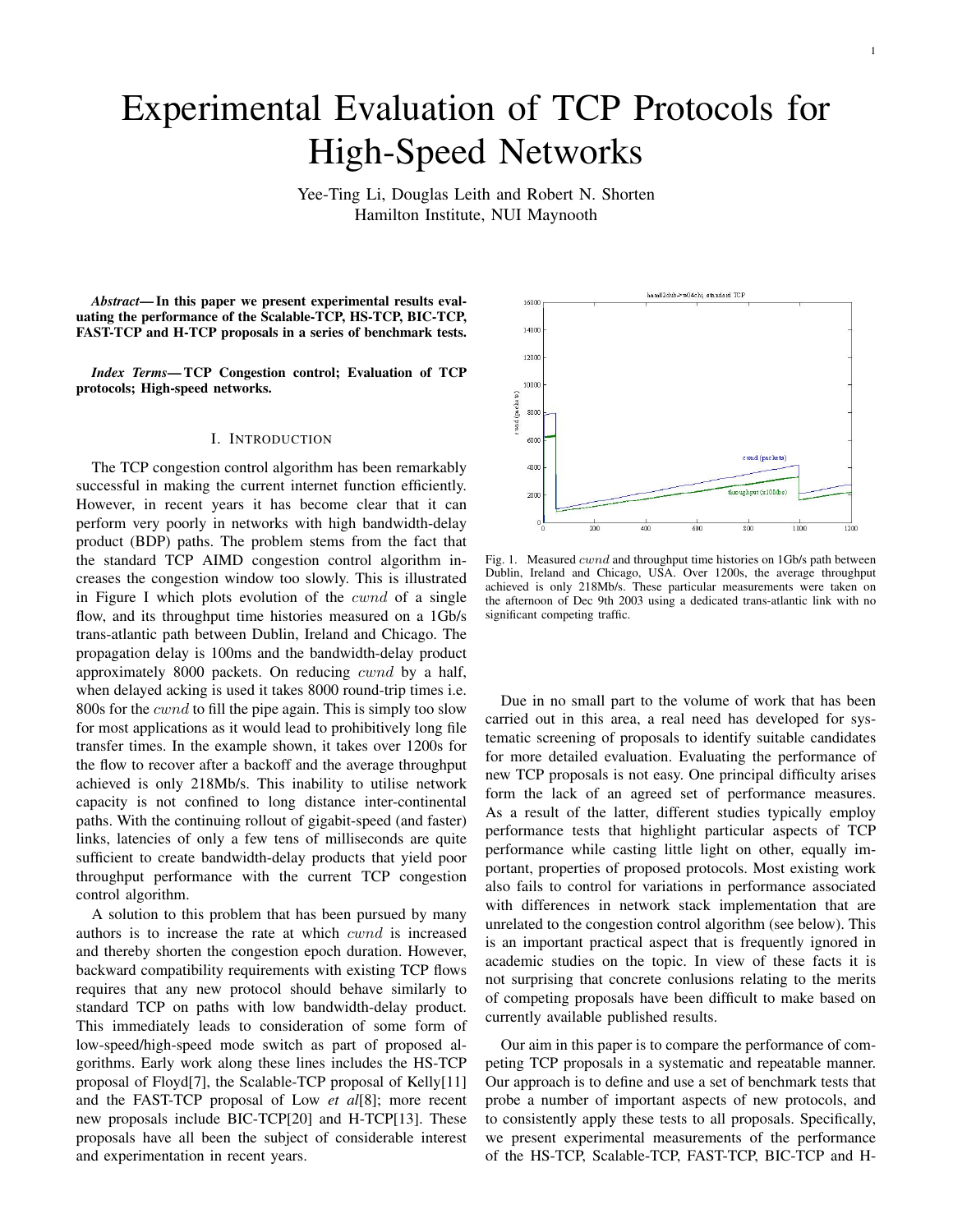# Experimental Evaluation of TCP Protocols for High-Speed Networks

Yee-Ting Li, Douglas Leith and Robert N. Shorten Hamilton Institute, NUI Maynooth

*Abstract*— In this paper we present experimental results evaluating the performance of the Scalable-TCP, HS-TCP, BIC-TCP, FAST-TCP and H-TCP proposals in a series of benchmark tests.

*Index Terms*— TCP Congestion control; Evaluation of TCP protocols; High-speed networks.

#### I. INTRODUCTION

The TCP congestion control algorithm has been remarkably successful in making the current internet function efficiently. However, in recent years it has become clear that it can perform very poorly in networks with high bandwidth-delay product (BDP) paths. The problem stems from the fact that the standard TCP AIMD congestion control algorithm increases the congestion window too slowly. This is illustrated in Figure I which plots evolution of the cwnd of a single flow, and its throughput time histories measured on a 1Gb/s trans-atlantic path between Dublin, Ireland and Chicago. The propagation delay is 100ms and the bandwidth-delay product approximately 8000 packets. On reducing *cwnd* by a half, when delayed acking is used it takes 8000 round-trip times i.e. 800s for the cwnd to fill the pipe again. This is simply too slow for most applications as it would lead to prohibitively long file transfer times. In the example shown, it takes over 1200s for the flow to recover after a backoff and the average throughput achieved is only 218Mb/s. This inability to utilise network capacity is not confined to long distance inter-continental paths. With the continuing rollout of gigabit-speed (and faster) links, latencies of only a few tens of milliseconds are quite sufficient to create bandwidth-delay products that yield poor throughput performance with the current TCP congestion control algorithm.

A solution to this problem that has been pursued by many authors is to increase the rate at which cwnd is increased and thereby shorten the congestion epoch duration. However, backward compatibility requirements with existing TCP flows requires that any new protocol should behave similarly to standard TCP on paths with low bandwidth-delay product. This immediately leads to consideration of some form of low-speed/high-speed mode switch as part of proposed algorithms. Early work along these lines includes the HS-TCP proposal of Floyd[7], the Scalable-TCP proposal of Kelly[11] and the FAST-TCP proposal of Low *et al*[8]; more recent new proposals include BIC-TCP[20] and H-TCP[13]. These proposals have all been the subject of considerable interest and experimentation in recent years.



Fig. 1. Measured cwnd and throughput time histories on 1Gb/s path between Dublin, Ireland and Chicago, USA. Over 1200s, the average throughput achieved is only 218Mb/s. These particular measurements were taken on the afternoon of Dec 9th 2003 using a dedicated trans-atlantic link with no significant competing traffic.

Due in no small part to the volume of work that has been carried out in this area, a real need has developed for systematic screening of proposals to identify suitable candidates for more detailed evaluation. Evaluating the performance of new TCP proposals is not easy. One principal difficulty arises form the lack of an agreed set of performance measures. As a result of the latter, different studies typically employ performance tests that highlight particular aspects of TCP performance while casting little light on other, equally important, properties of proposed protocols. Most existing work also fails to control for variations in performance associated with differences in network stack implementation that are unrelated to the congestion control algorithm (see below). This is an important practical aspect that is frequently ignored in academic studies on the topic. In view of these facts it is not surprising that concrete conlusions relating to the merits of competing proposals have been difficult to make based on currently available published results.

Our aim in this paper is to compare the performance of competing TCP proposals in a systematic and repeatable manner. Our approach is to define and use a set of benchmark tests that probe a number of important aspects of new protocols, and to consistently apply these tests to all proposals. Specifically, we present experimental measurements of the performance of the HS-TCP, Scalable-TCP, FAST-TCP, BIC-TCP and H-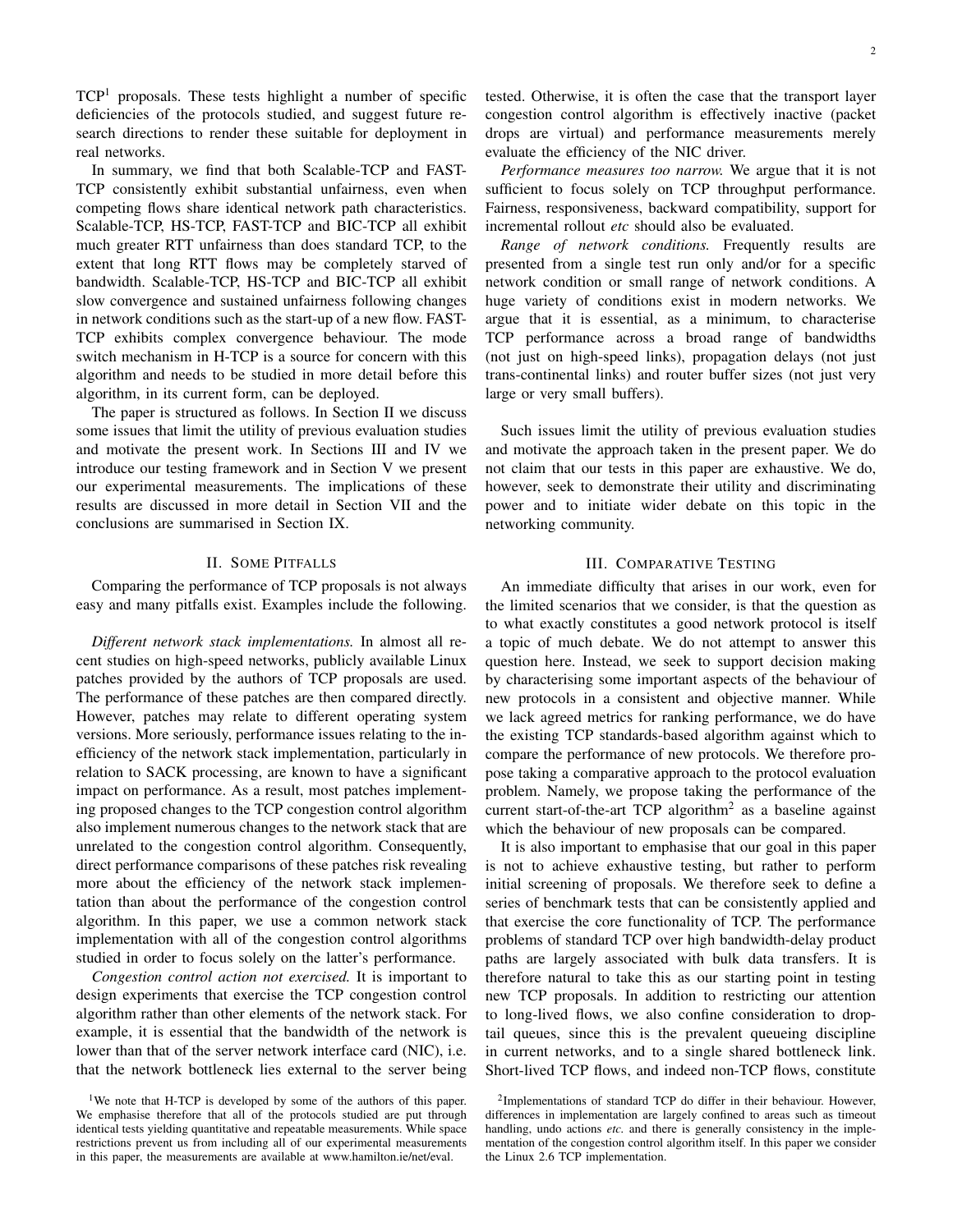$TCP<sup>1</sup>$  proposals. These tests highlight a number of specific deficiencies of the protocols studied, and suggest future research directions to render these suitable for deployment in real networks.

In summary, we find that both Scalable-TCP and FAST-TCP consistently exhibit substantial unfairness, even when competing flows share identical network path characteristics. Scalable-TCP, HS-TCP, FAST-TCP and BIC-TCP all exhibit much greater RTT unfairness than does standard TCP, to the extent that long RTT flows may be completely starved of bandwidth. Scalable-TCP, HS-TCP and BIC-TCP all exhibit slow convergence and sustained unfairness following changes in network conditions such as the start-up of a new flow. FAST-TCP exhibits complex convergence behaviour. The mode switch mechanism in H-TCP is a source for concern with this algorithm and needs to be studied in more detail before this algorithm, in its current form, can be deployed.

The paper is structured as follows. In Section II we discuss some issues that limit the utility of previous evaluation studies and motivate the present work. In Sections III and IV we introduce our testing framework and in Section V we present our experimental measurements. The implications of these results are discussed in more detail in Section VII and the conclusions are summarised in Section IX.

# II. SOME PITFALLS

Comparing the performance of TCP proposals is not always easy and many pitfalls exist. Examples include the following.

*Different network stack implementations.* In almost all recent studies on high-speed networks, publicly available Linux patches provided by the authors of TCP proposals are used. The performance of these patches are then compared directly. However, patches may relate to different operating system versions. More seriously, performance issues relating to the inefficiency of the network stack implementation, particularly in relation to SACK processing, are known to have a significant impact on performance. As a result, most patches implementing proposed changes to the TCP congestion control algorithm also implement numerous changes to the network stack that are unrelated to the congestion control algorithm. Consequently, direct performance comparisons of these patches risk revealing more about the efficiency of the network stack implementation than about the performance of the congestion control algorithm. In this paper, we use a common network stack implementation with all of the congestion control algorithms studied in order to focus solely on the latter's performance.

*Congestion control action not exercised.* It is important to design experiments that exercise the TCP congestion control algorithm rather than other elements of the network stack. For example, it is essential that the bandwidth of the network is lower than that of the server network interface card (NIC), i.e. that the network bottleneck lies external to the server being tested. Otherwise, it is often the case that the transport layer congestion control algorithm is effectively inactive (packet drops are virtual) and performance measurements merely evaluate the efficiency of the NIC driver.

*Performance measures too narrow.* We argue that it is not sufficient to focus solely on TCP throughput performance. Fairness, responsiveness, backward compatibility, support for incremental rollout *etc* should also be evaluated.

*Range of network conditions.* Frequently results are presented from a single test run only and/or for a specific network condition or small range of network conditions. A huge variety of conditions exist in modern networks. We argue that it is essential, as a minimum, to characterise TCP performance across a broad range of bandwidths (not just on high-speed links), propagation delays (not just trans-continental links) and router buffer sizes (not just very large or very small buffers).

Such issues limit the utility of previous evaluation studies and motivate the approach taken in the present paper. We do not claim that our tests in this paper are exhaustive. We do, however, seek to demonstrate their utility and discriminating power and to initiate wider debate on this topic in the networking community.

## III. COMPARATIVE TESTING

An immediate difficulty that arises in our work, even for the limited scenarios that we consider, is that the question as to what exactly constitutes a good network protocol is itself a topic of much debate. We do not attempt to answer this question here. Instead, we seek to support decision making by characterising some important aspects of the behaviour of new protocols in a consistent and objective manner. While we lack agreed metrics for ranking performance, we do have the existing TCP standards-based algorithm against which to compare the performance of new protocols. We therefore propose taking a comparative approach to the protocol evaluation problem. Namely, we propose taking the performance of the current start-of-the-art TCP algorithm<sup>2</sup> as a baseline against which the behaviour of new proposals can be compared.

It is also important to emphasise that our goal in this paper is not to achieve exhaustive testing, but rather to perform initial screening of proposals. We therefore seek to define a series of benchmark tests that can be consistently applied and that exercise the core functionality of TCP. The performance problems of standard TCP over high bandwidth-delay product paths are largely associated with bulk data transfers. It is therefore natural to take this as our starting point in testing new TCP proposals. In addition to restricting our attention to long-lived flows, we also confine consideration to droptail queues, since this is the prevalent queueing discipline in current networks, and to a single shared bottleneck link. Short-lived TCP flows, and indeed non-TCP flows, constitute

<sup>&</sup>lt;sup>1</sup>We note that H-TCP is developed by some of the authors of this paper. We emphasise therefore that all of the protocols studied are put through identical tests yielding quantitative and repeatable measurements. While space restrictions prevent us from including all of our experimental measurements in this paper, the measurements are available at www.hamilton.ie/net/eval.

<sup>&</sup>lt;sup>2</sup>Implementations of standard TCP do differ in their behaviour. However, differences in implementation are largely confined to areas such as timeout handling, undo actions *etc.* and there is generally consistency in the implementation of the congestion control algorithm itself. In this paper we consider the Linux 2.6 TCP implementation.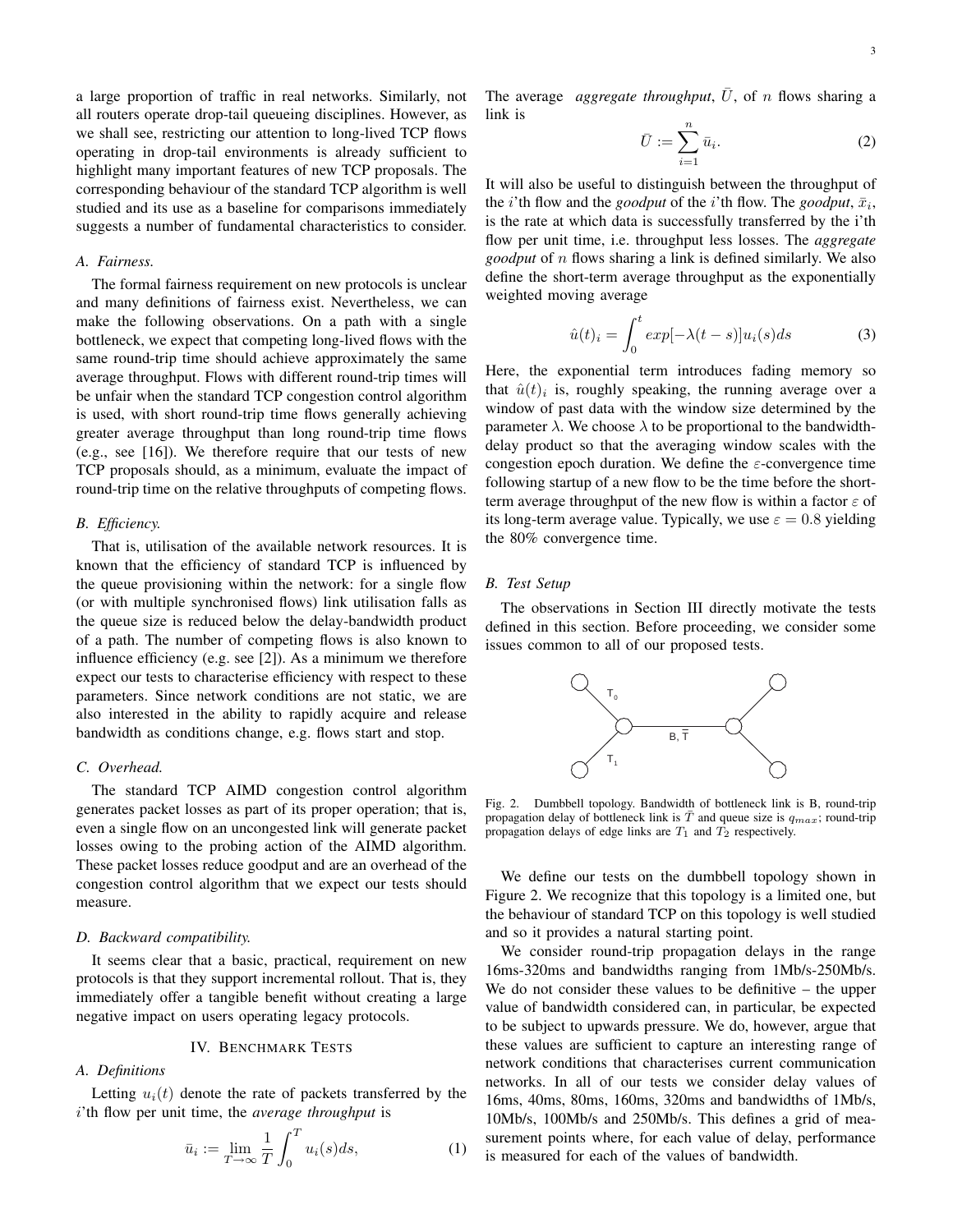a large proportion of traffic in real networks. Similarly, not all routers operate drop-tail queueing disciplines. However, as we shall see, restricting our attention to long-lived TCP flows operating in drop-tail environments is already sufficient to highlight many important features of new TCP proposals. The corresponding behaviour of the standard TCP algorithm is well studied and its use as a baseline for comparisons immediately suggests a number of fundamental characteristics to consider.

#### *A. Fairness.*

The formal fairness requirement on new protocols is unclear and many definitions of fairness exist. Nevertheless, we can make the following observations. On a path with a single bottleneck, we expect that competing long-lived flows with the same round-trip time should achieve approximately the same average throughput. Flows with different round-trip times will be unfair when the standard TCP congestion control algorithm is used, with short round-trip time flows generally achieving greater average throughput than long round-trip time flows (e.g., see [16]). We therefore require that our tests of new TCP proposals should, as a minimum, evaluate the impact of round-trip time on the relative throughputs of competing flows.

### *B. Efficiency.*

That is, utilisation of the available network resources. It is known that the efficiency of standard TCP is influenced by the queue provisioning within the network: for a single flow (or with multiple synchronised flows) link utilisation falls as the queue size is reduced below the delay-bandwidth product of a path. The number of competing flows is also known to influence efficiency (e.g. see [2]). As a minimum we therefore expect our tests to characterise efficiency with respect to these parameters. Since network conditions are not static, we are also interested in the ability to rapidly acquire and release bandwidth as conditions change, e.g. flows start and stop.

## *C. Overhead.*

The standard TCP AIMD congestion control algorithm generates packet losses as part of its proper operation; that is, even a single flow on an uncongested link will generate packet losses owing to the probing action of the AIMD algorithm. These packet losses reduce goodput and are an overhead of the congestion control algorithm that we expect our tests should measure.

## *D. Backward compatibility.*

It seems clear that a basic, practical, requirement on new protocols is that they support incremental rollout. That is, they immediately offer a tangible benefit without creating a large negative impact on users operating legacy protocols.

## IV. BENCHMARK TESTS

#### *A. Definitions*

Letting  $u_i(t)$  denote the rate of packets transferred by the i'th flow per unit time, the *average throughput* is

$$
\bar{u}_i := \lim_{T \to \infty} \frac{1}{T} \int_0^T u_i(s) ds,
$$
\n(1)

The average *aggregate throughput*,  $\overline{U}$ , of n flows sharing a link is

$$
\bar{U} := \sum_{i=1}^{n} \bar{u}_i.
$$
 (2)

It will also be useful to distinguish between the throughput of the *i*'th flow and the *goodput* of the *i*'th flow. The *goodput*,  $\bar{x}_i$ , is the rate at which data is successfully transferred by the i'th flow per unit time, i.e. throughput less losses. The *aggregate goodput* of n flows sharing a link is defined similarly. We also define the short-term average throughput as the exponentially weighted moving average

$$
\hat{u}(t)_i = \int_0^t exp[-\lambda(t-s)]u_i(s)ds \tag{3}
$$

Here, the exponential term introduces fading memory so that  $\hat{u}(t)_i$  is, roughly speaking, the running average over a window of past data with the window size determined by the parameter  $\lambda$ . We choose  $\lambda$  to be proportional to the bandwidthdelay product so that the averaging window scales with the congestion epoch duration. We define the  $\varepsilon$ -convergence time following startup of a new flow to be the time before the shortterm average throughput of the new flow is within a factor  $\varepsilon$  of its long-term average value. Typically, we use  $\varepsilon = 0.8$  yielding the 80% convergence time.

## *B. Test Setup*

The observations in Section III directly motivate the tests defined in this section. Before proceeding, we consider some issues common to all of our proposed tests.



Fig. 2. Dumbbell topology. Bandwidth of bottleneck link is B, round-trip propagation delay of bottleneck link is  $\bar{T}$  and queue size is  $q_{max}$ ; round-trip propagation delays of edge links are  $T_1$  and  $T_2$  respectively.

We define our tests on the dumbbell topology shown in Figure 2. We recognize that this topology is a limited one, but the behaviour of standard TCP on this topology is well studied and so it provides a natural starting point.

We consider round-trip propagation delays in the range 16ms-320ms and bandwidths ranging from 1Mb/s-250Mb/s. We do not consider these values to be definitive – the upper value of bandwidth considered can, in particular, be expected to be subject to upwards pressure. We do, however, argue that these values are sufficient to capture an interesting range of network conditions that characterises current communication networks. In all of our tests we consider delay values of 16ms, 40ms, 80ms, 160ms, 320ms and bandwidths of 1Mb/s, 10Mb/s, 100Mb/s and 250Mb/s. This defines a grid of measurement points where, for each value of delay, performance is measured for each of the values of bandwidth.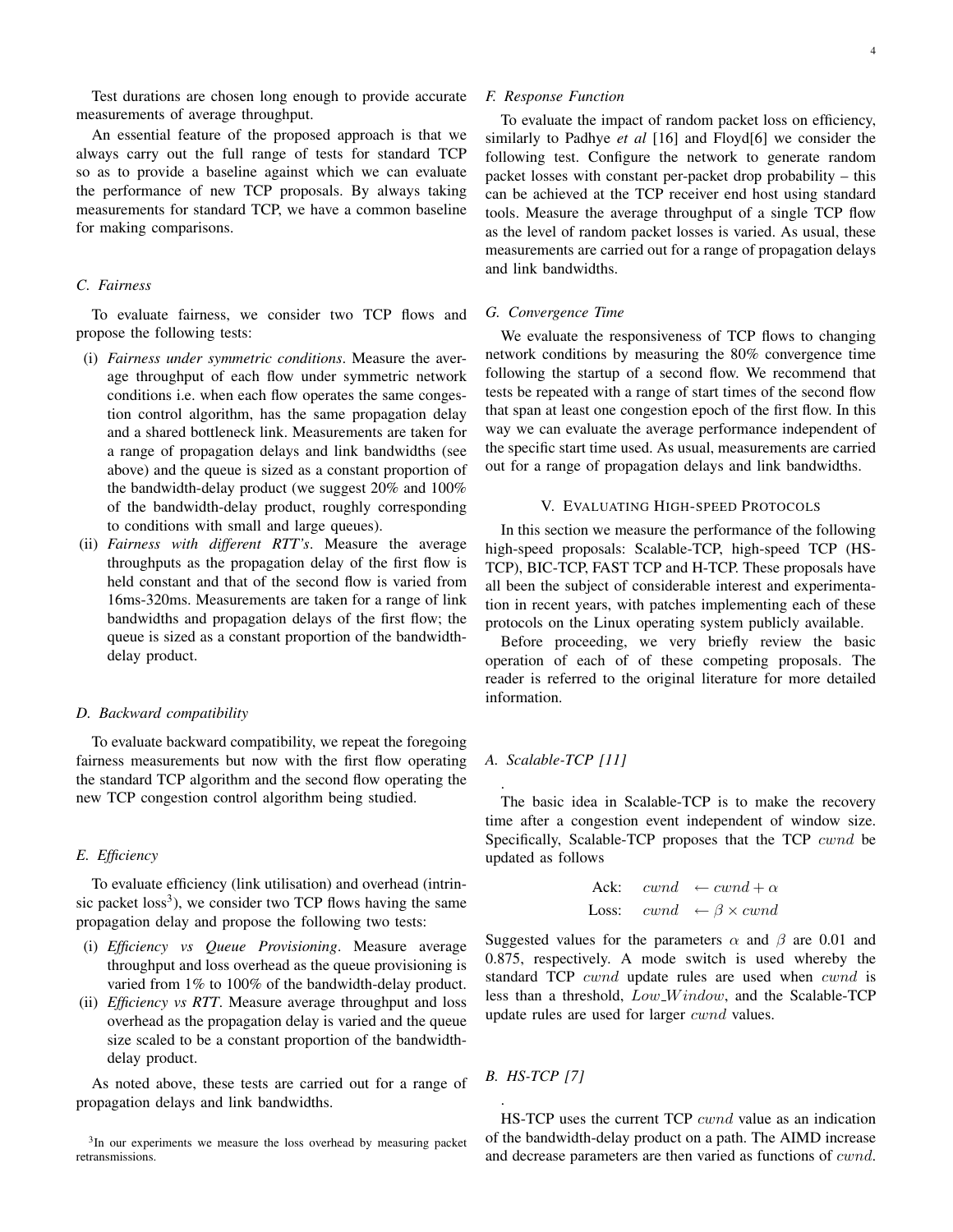Test durations are chosen long enough to provide accurate measurements of average throughput.

An essential feature of the proposed approach is that we always carry out the full range of tests for standard TCP so as to provide a baseline against which we can evaluate the performance of new TCP proposals. By always taking measurements for standard TCP, we have a common baseline for making comparisons.

# *C. Fairness*

To evaluate fairness, we consider two TCP flows and propose the following tests:

- (i) *Fairness under symmetric conditions*. Measure the average throughput of each flow under symmetric network conditions i.e. when each flow operates the same congestion control algorithm, has the same propagation delay and a shared bottleneck link. Measurements are taken for a range of propagation delays and link bandwidths (see above) and the queue is sized as a constant proportion of the bandwidth-delay product (we suggest 20% and 100% of the bandwidth-delay product, roughly corresponding to conditions with small and large queues).
- (ii) *Fairness with different RTT's*. Measure the average throughputs as the propagation delay of the first flow is held constant and that of the second flow is varied from 16ms-320ms. Measurements are taken for a range of link bandwidths and propagation delays of the first flow; the queue is sized as a constant proportion of the bandwidthdelay product.

## *D. Backward compatibility*

To evaluate backward compatibility, we repeat the foregoing fairness measurements but now with the first flow operating the standard TCP algorithm and the second flow operating the new TCP congestion control algorithm being studied.

## *E. Efficiency*

To evaluate efficiency (link utilisation) and overhead (intrinsic packet  $loss<sup>3</sup>$ ), we consider two TCP flows having the same propagation delay and propose the following two tests:

- (i) *Efficiency vs Queue Provisioning*. Measure average throughput and loss overhead as the queue provisioning is varied from 1% to 100% of the bandwidth-delay product.
- (ii) *Efficiency vs RTT*. Measure average throughput and loss overhead as the propagation delay is varied and the queue size scaled to be a constant proportion of the bandwidthdelay product.

As noted above, these tests are carried out for a range of propagation delays and link bandwidths.

### *F. Response Function*

To evaluate the impact of random packet loss on efficiency, similarly to Padhye *et al* [16] and Floyd[6] we consider the following test. Configure the network to generate random packet losses with constant per-packet drop probability – this can be achieved at the TCP receiver end host using standard tools. Measure the average throughput of a single TCP flow as the level of random packet losses is varied. As usual, these measurements are carried out for a range of propagation delays and link bandwidths.

## *G. Convergence Time*

We evaluate the responsiveness of TCP flows to changing network conditions by measuring the 80% convergence time following the startup of a second flow. We recommend that tests be repeated with a range of start times of the second flow that span at least one congestion epoch of the first flow. In this way we can evaluate the average performance independent of the specific start time used. As usual, measurements are carried out for a range of propagation delays and link bandwidths.

# V. EVALUATING HIGH-SPEED PROTOCOLS

In this section we measure the performance of the following high-speed proposals: Scalable-TCP, high-speed TCP (HS-TCP), BIC-TCP, FAST TCP and H-TCP. These proposals have all been the subject of considerable interest and experimentation in recent years, with patches implementing each of these protocols on the Linux operating system publicly available.

Before proceeding, we very briefly review the basic operation of each of of these competing proposals. The reader is referred to the original literature for more detailed information.

## *A. Scalable-TCP [11]*

.

The basic idea in Scalable-TCP is to make the recovery time after a congestion event independent of window size. Specifically, Scalable-TCP proposes that the TCP cwnd be updated as follows

$$
\begin{aligned}\n\text{Ack:} \quad cwnd &\leftarrow cwnd + \alpha \\
\text{Loss:} \quad cwnd &\leftarrow \beta \times cwnd\n\end{aligned}
$$

Suggested values for the parameters  $\alpha$  and  $\beta$  are 0.01 and 0.875, respectively. A mode switch is used whereby the standard TCP *cwnd* update rules are used when *cwnd* is less than a threshold,  $Low\_Window$ , and the Scalable-TCP update rules are used for larger cwnd values.

*B. HS-TCP [7]*

.

HS-TCP uses the current TCP cwnd value as an indication of the bandwidth-delay product on a path. The AIMD increase and decrease parameters are then varied as functions of cwnd.

<sup>&</sup>lt;sup>3</sup>In our experiments we measure the loss overhead by measuring packet retransmissions.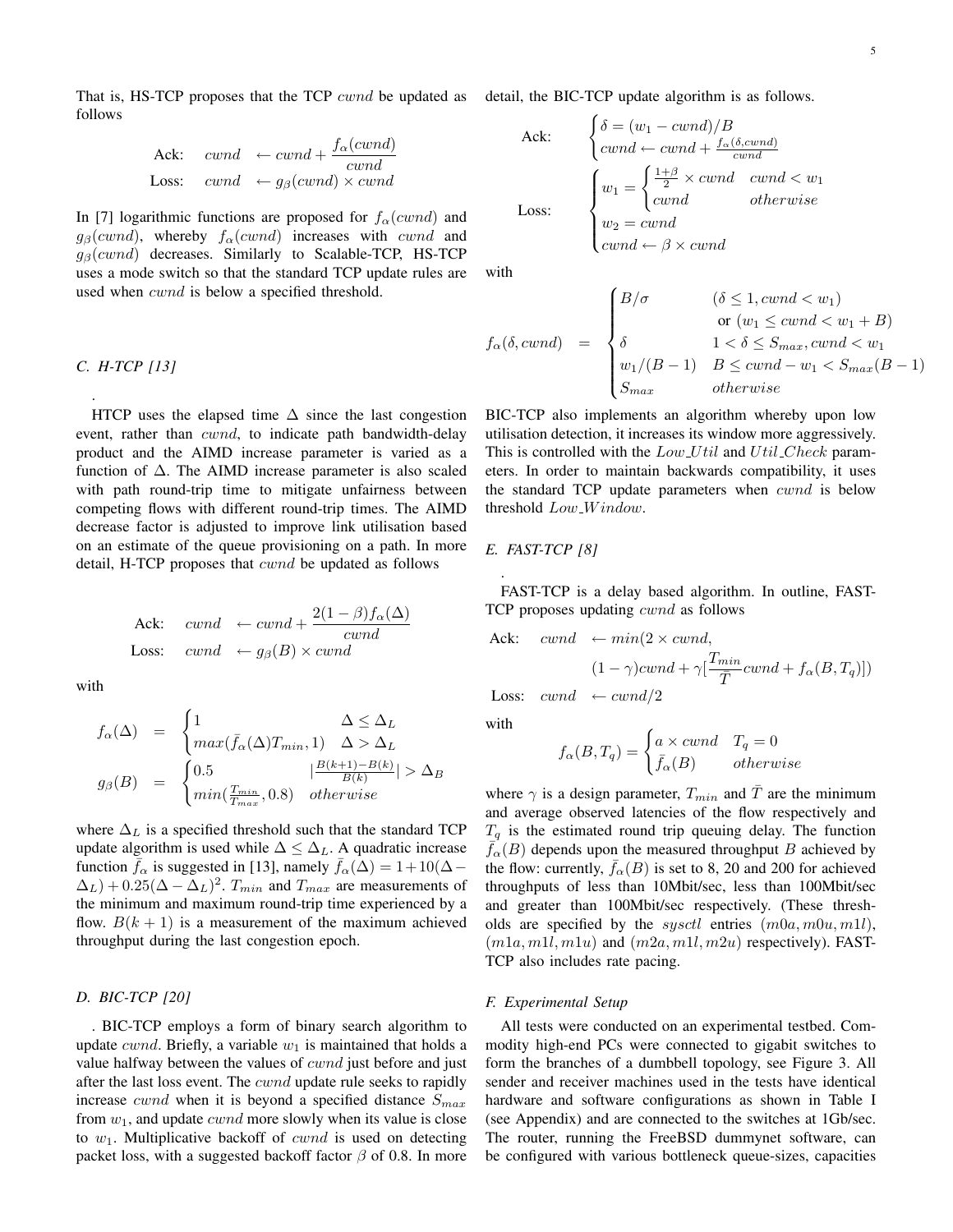That is, HS-TCP proposes that the TCP *cwnd* be updated as detail, the BIC-TCP update algorithm is as follows. follows

$$
\begin{array}{rcl}\n\text{Ack:} & cwnd & \leftarrow cwnd + \frac{f_{\alpha}(cwnd)}{cwnd} \\
\text{Loss:} & cwnd & \leftarrow g_{\beta}(cwnd) \times cwnd\n\end{array}
$$

In [7] logarithmic functions are proposed for  $f_\alpha(cwnd)$  and  $g_\beta(cwnd)$ , whereby  $f_\alpha(cwnd)$  increases with cwnd and  $g_{\beta}(cwnd)$  decreases. Similarly to Scalable-TCP, HS-TCP uses a mode switch so that the standard TCP update rules are used when *cwnd* is below a specified threshold.

*C. H-TCP [13]*

.

HTCP uses the elapsed time  $\Delta$  since the last congestion event, rather than *cwnd*, to indicate path bandwidth-delay product and the AIMD increase parameter is varied as a function of  $\Delta$ . The AIMD increase parameter is also scaled with path round-trip time to mitigate unfairness between competing flows with different round-trip times. The AIMD decrease factor is adjusted to improve link utilisation based on an estimate of the queue provisioning on a path. In more detail, H-TCP proposes that cwnd be updated as follows

\n
$$
\text{ack:} \quad \text{cwnd} \quad \leftarrow \text{cwnd} + \frac{2(1-\beta)f_\alpha(\Delta)}{\text{cwnd}}
$$
\n

\n\n $\text{Loss:} \quad \text{cwnd} \quad \leftarrow g_\beta(B) \times \text{cwnd}$ \n

with

$$
f_{\alpha}(\Delta) = \begin{cases} 1 & \Delta \leq \Delta_L \\ max(\bar{f}_{\alpha}(\Delta)T_{min}, 1) & \Delta > \Delta_L \end{cases}
$$
  

$$
g_{\beta}(B) = \begin{cases} 0.5 & |\frac{B(k+1)-B(k)}{B(k)}| > \Delta_B \\ min(\frac{T_{min}}{T_{max}}, 0.8) & otherwise \end{cases}
$$

where  $\Delta_L$  is a specified threshold such that the standard TCP update algorithm is used while  $\Delta \leq \Delta_L$ . A quadratic increase function  $\bar{f}_{\alpha}$  is suggested in [13], namely  $\bar{f}_{\alpha}(\Delta) = 1+10(\Delta-\alpha)$  $(\Delta_L) + 0.25(\Delta - \Delta_L)^2$ .  $T_{min}$  and  $T_{max}$  are measurements of the minimum and maximum round-trip time experienced by a flow.  $B(k + 1)$  is a measurement of the maximum achieved throughput during the last congestion epoch.

#### *D. BIC-TCP [20]*

. BIC-TCP employs a form of binary search algorithm to update *cwnd*. Briefly, a variable  $w_1$  is maintained that holds a value halfway between the values of *cwnd* just before and just after the last loss event. The *cwnd* update rule seeks to rapidly increase *cwnd* when it is beyond a specified distance  $S_{max}$ from  $w_1$ , and update *cwnd* more slowly when its value is close to  $w_1$ . Multiplicative backoff of *cwnd* is used on detecting packet loss, with a suggested backoff factor  $\beta$  of 0.8. In more

\n
$$
\text{Ack:} \quad\n \begin{cases}\n \delta = (w_1 - \text{cwnd})/B \\
 \text{cwnd} \leftarrow \text{cwnd} + \frac{f_{\alpha}(\delta, \text{cwnd})}{\text{cwnd}} \\
 \text{Loss:} \quad\n \begin{cases}\n w_1 = \begin{cases}\n \frac{1+\beta}{2} \times \text{cwnd} & \text{cwnd} < w_1 \\
 \text{cwnd} & \text{otherwise}\n \end{cases} \\
 w_2 = \text{cwnd} \\
 \text{cwnd} \leftarrow \beta \times \text{cwnd}\n \end{cases}\n \end{cases}
$$
\n

with

$$
f_{\alpha}(\delta, cwnd) = \begin{cases} B/\sigma & (\delta \le 1, cwnd < w_1) \\ \text{or } (w_1 \le cwnd < w_1 + B) \\ \delta & 1 < \delta \le S_{max}, cwnd < w_1 \\ w_1/(B - 1) & B \le cwnd - w_1 < S_{max}(B - 1) \\ S_{max} & otherwise \end{cases}
$$

BIC-TCP also implements an algorithm whereby upon low utilisation detection, it increases its window more aggressively. This is controlled with the  $Low_Util$  and  $Util\_Check$  parameters. In order to maintain backwards compatibility, it uses the standard TCP update parameters when cwnd is below threshold  $Low\_Window$ .

## *E. FAST-TCP [8]*

FAST-TCP is a delay based algorithm. In outline, FAST-TCP proposes updating cwnd as follows

\n
$$
\text{ack:} \quad \text{cwnd} \quad \leftarrow \min(2 \times \text{cwnd}, \\
 \quad (1 - \gamma)\text{cwnd} + \gamma \left[ \frac{T_{min}}{\bar{T}} \text{cwnd} + f_{\alpha}(B, T_q) \right] \text{ }\n \text{less:} \quad \text{cwnd} \quad \leftarrow \text{cwnd} / 2
$$
\n

**Loss:**  $cwnd \leftarrow cwnd/2$ 

with

.

$$
f_{\alpha}(B, T_q) = \begin{cases} a \times cwnd & T_q = 0\\ \bar{f}_{\alpha}(B) & otherwise \end{cases}
$$

where  $\gamma$  is a design parameter,  $T_{min}$  and  $\overline{T}$  are the minimum and average observed latencies of the flow respectively and  $T_q$  is the estimated round trip queuing delay. The function  $\bar{f}_{\alpha}(B)$  depends upon the measured throughput B achieved by the flow: currently,  $\bar{f}_{\alpha}(B)$  is set to 8, 20 and 200 for achieved throughputs of less than 10Mbit/sec, less than 100Mbit/sec and greater than 100Mbit/sec respectively. (These thresholds are specified by the *sysctl* entries  $(m0a, m0u, m1l)$ ,  $(m1a, m1l, m1u)$  and  $(m2a, m1l, m2u)$  respectively). FAST-TCP also includes rate pacing.

## *F. Experimental Setup*

All tests were conducted on an experimental testbed. Commodity high-end PCs were connected to gigabit switches to form the branches of a dumbbell topology, see Figure 3. All sender and receiver machines used in the tests have identical hardware and software configurations as shown in Table I (see Appendix) and are connected to the switches at 1Gb/sec. The router, running the FreeBSD dummynet software, can be configured with various bottleneck queue-sizes, capacities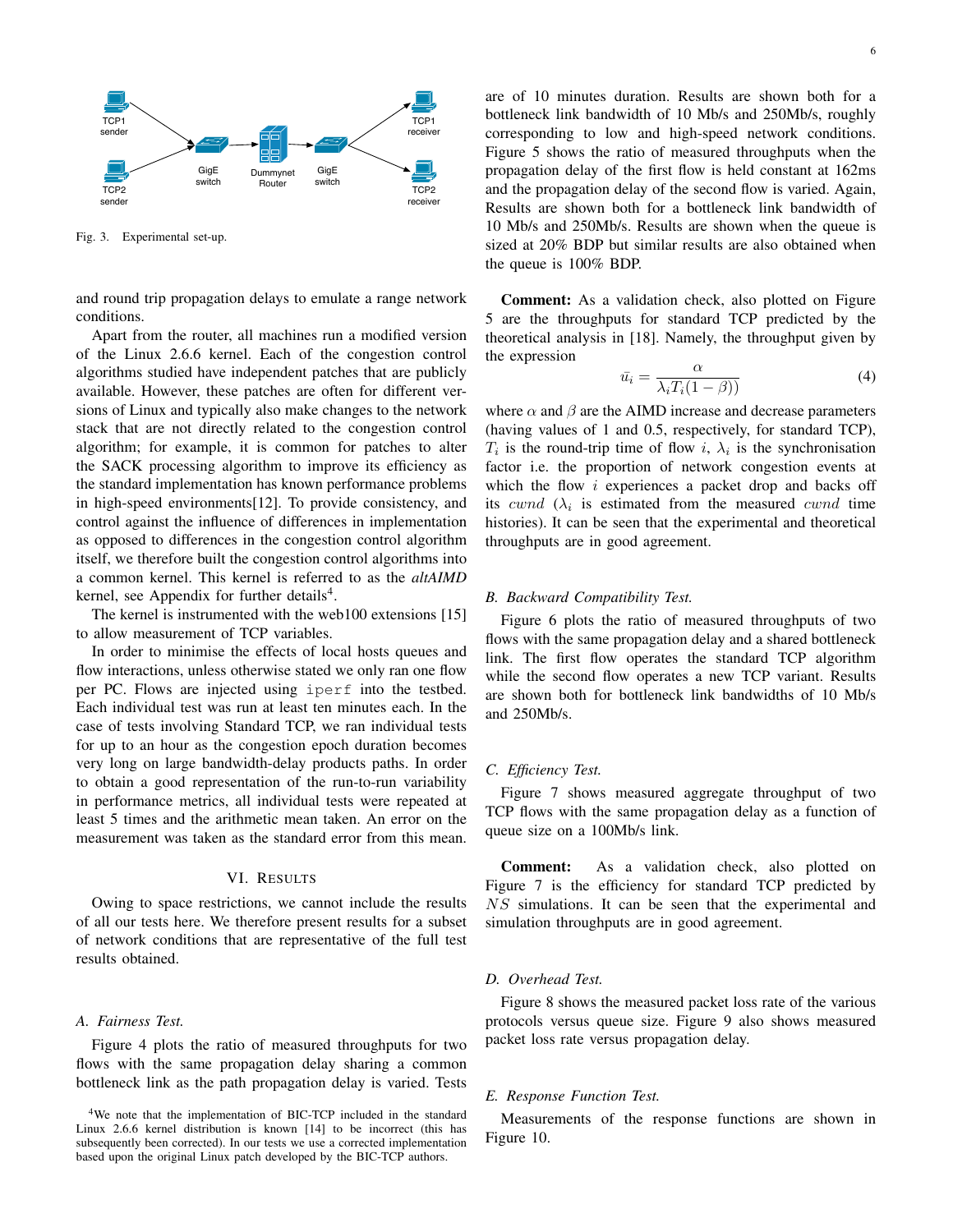

Fig. 3. Experimental set-up.

and round trip propagation delays to emulate a range network conditions.

Apart from the router, all machines run a modified version of the Linux 2.6.6 kernel. Each of the congestion control algorithms studied have independent patches that are publicly available. However, these patches are often for different versions of Linux and typically also make changes to the network stack that are not directly related to the congestion control algorithm; for example, it is common for patches to alter the SACK processing algorithm to improve its efficiency as the standard implementation has known performance problems in high-speed environments[12]. To provide consistency, and control against the influence of differences in implementation as opposed to differences in the congestion control algorithm itself, we therefore built the congestion control algorithms into a common kernel. This kernel is referred to as the *altAIMD* kernel, see Appendix for further details<sup>4</sup>.

The kernel is instrumented with the web100 extensions [15] to allow measurement of TCP variables.

In order to minimise the effects of local hosts queues and flow interactions, unless otherwise stated we only ran one flow per PC. Flows are injected using iperf into the testbed. Each individual test was run at least ten minutes each. In the case of tests involving Standard TCP, we ran individual tests for up to an hour as the congestion epoch duration becomes very long on large bandwidth-delay products paths. In order to obtain a good representation of the run-to-run variability in performance metrics, all individual tests were repeated at least 5 times and the arithmetic mean taken. An error on the measurement was taken as the standard error from this mean.

#### VI. RESULTS

Owing to space restrictions, we cannot include the results of all our tests here. We therefore present results for a subset of network conditions that are representative of the full test results obtained.

### *A. Fairness Test.*

Figure 4 plots the ratio of measured throughputs for two flows with the same propagation delay sharing a common bottleneck link as the path propagation delay is varied. Tests are of 10 minutes duration. Results are shown both for a bottleneck link bandwidth of 10 Mb/s and 250Mb/s, roughly corresponding to low and high-speed network conditions. Figure 5 shows the ratio of measured throughputs when the propagation delay of the first flow is held constant at 162ms and the propagation delay of the second flow is varied. Again, Results are shown both for a bottleneck link bandwidth of 10 Mb/s and 250Mb/s. Results are shown when the queue is sized at 20% BDP but similar results are also obtained when the queue is 100% BDP.

Comment: As a validation check, also plotted on Figure 5 are the throughputs for standard TCP predicted by the theoretical analysis in [18]. Namely, the throughput given by the expression

$$
\bar{u}_i = \frac{\alpha}{\lambda_i T_i (1 - \beta)}
$$
\n(4)

where  $\alpha$  and  $\beta$  are the AIMD increase and decrease parameters (having values of 1 and 0.5, respectively, for standard TCP),  $T_i$  is the round-trip time of flow i,  $\lambda_i$  is the synchronisation factor i.e. the proportion of network congestion events at which the flow  $i$  experiences a packet drop and backs off its cwnd  $(\lambda_i)$  is estimated from the measured cwnd time histories). It can be seen that the experimental and theoretical throughputs are in good agreement.

## *B. Backward Compatibility Test.*

Figure 6 plots the ratio of measured throughputs of two flows with the same propagation delay and a shared bottleneck link. The first flow operates the standard TCP algorithm while the second flow operates a new TCP variant. Results are shown both for bottleneck link bandwidths of 10 Mb/s and 250Mb/s.

# *C. Efficiency Test.*

Figure 7 shows measured aggregate throughput of two TCP flows with the same propagation delay as a function of queue size on a 100Mb/s link.

Comment: As a validation check, also plotted on Figure 7 is the efficiency for standard TCP predicted by NS simulations. It can be seen that the experimental and simulation throughputs are in good agreement.

# *D. Overhead Test.*

Figure 8 shows the measured packet loss rate of the various protocols versus queue size. Figure 9 also shows measured packet loss rate versus propagation delay.

## *E. Response Function Test.*

Measurements of the response functions are shown in Figure 10.

<sup>4</sup>We note that the implementation of BIC-TCP included in the standard Linux 2.6.6 kernel distribution is known [14] to be incorrect (this has subsequently been corrected). In our tests we use a corrected implementation based upon the original Linux patch developed by the BIC-TCP authors.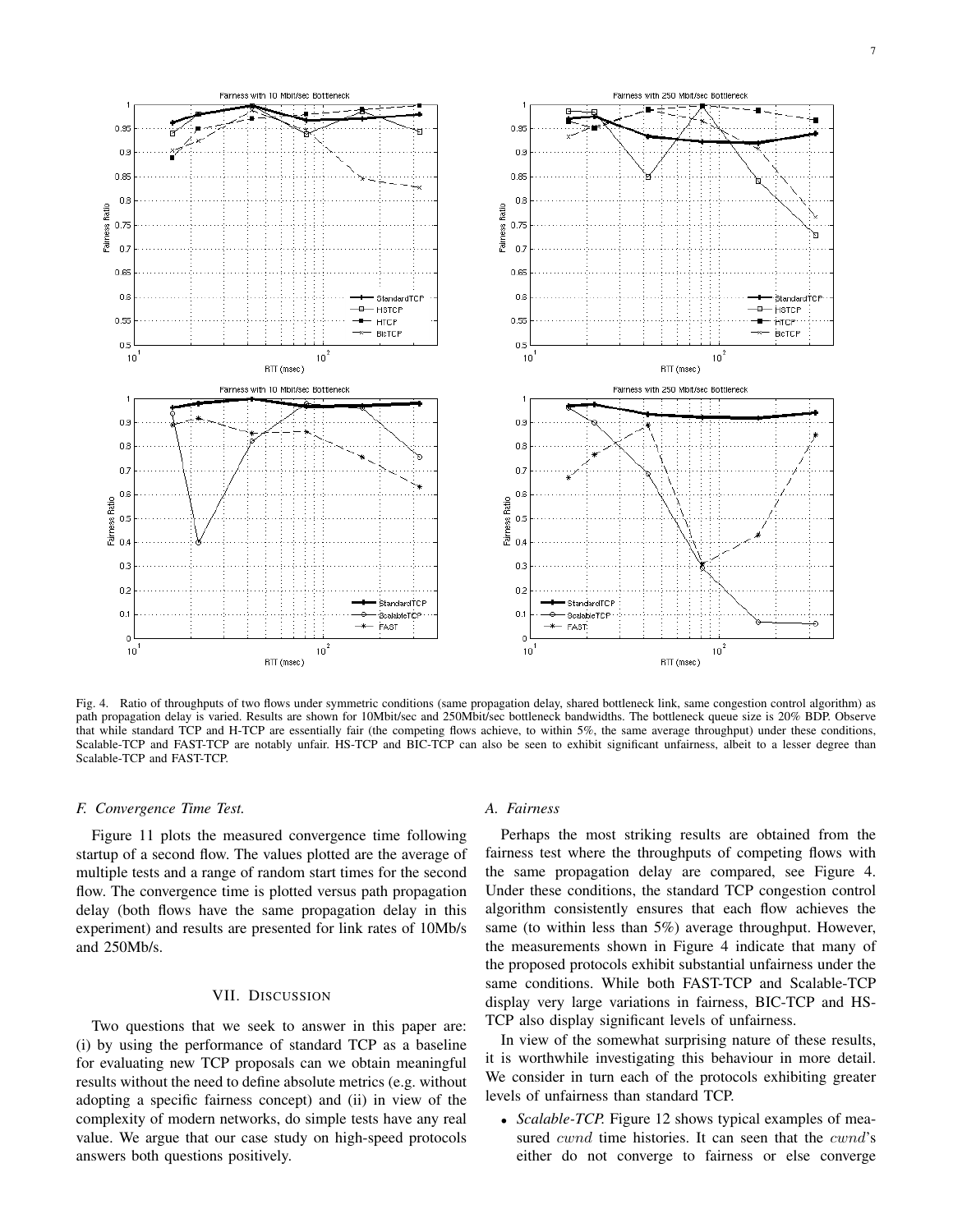

Fig. 4. Ratio of throughputs of two flows under symmetric conditions (same propagation delay, shared bottleneck link, same congestion control algorithm) as path propagation delay is varied. Results are shown for 10Mbit/sec and 250Mbit/sec bottleneck bandwidths. The bottleneck queue size is 20% BDP. Observe that while standard TCP and H-TCP are essentially fair (the competing flows achieve, to within 5%, the same average throughput) under these conditions, Scalable-TCP and FAST-TCP are notably unfair. HS-TCP and BIC-TCP can also be seen to exhibit significant unfairness, albeit to a lesser degree than Scalable-TCP and FAST-TCP.

#### *F. Convergence Time Test.*

Figure 11 plots the measured convergence time following startup of a second flow. The values plotted are the average of multiple tests and a range of random start times for the second flow. The convergence time is plotted versus path propagation delay (both flows have the same propagation delay in this experiment) and results are presented for link rates of 10Mb/s and 250Mb/s.

## VII. DISCUSSION

Two questions that we seek to answer in this paper are: (i) by using the performance of standard TCP as a baseline for evaluating new TCP proposals can we obtain meaningful results without the need to define absolute metrics (e.g. without adopting a specific fairness concept) and (ii) in view of the complexity of modern networks, do simple tests have any real value. We argue that our case study on high-speed protocols answers both questions positively.

#### *A. Fairness*

Perhaps the most striking results are obtained from the fairness test where the throughputs of competing flows with the same propagation delay are compared, see Figure 4. Under these conditions, the standard TCP congestion control algorithm consistently ensures that each flow achieves the same (to within less than 5%) average throughput. However, the measurements shown in Figure 4 indicate that many of the proposed protocols exhibit substantial unfairness under the same conditions. While both FAST-TCP and Scalable-TCP display very large variations in fairness, BIC-TCP and HS-TCP also display significant levels of unfairness.

In view of the somewhat surprising nature of these results, it is worthwhile investigating this behaviour in more detail. We consider in turn each of the protocols exhibiting greater levels of unfairness than standard TCP.

• *Scalable-TCP.* Figure 12 shows typical examples of measured *cwnd* time histories. It can seen that the *cwnd*'s either do not converge to fairness or else converge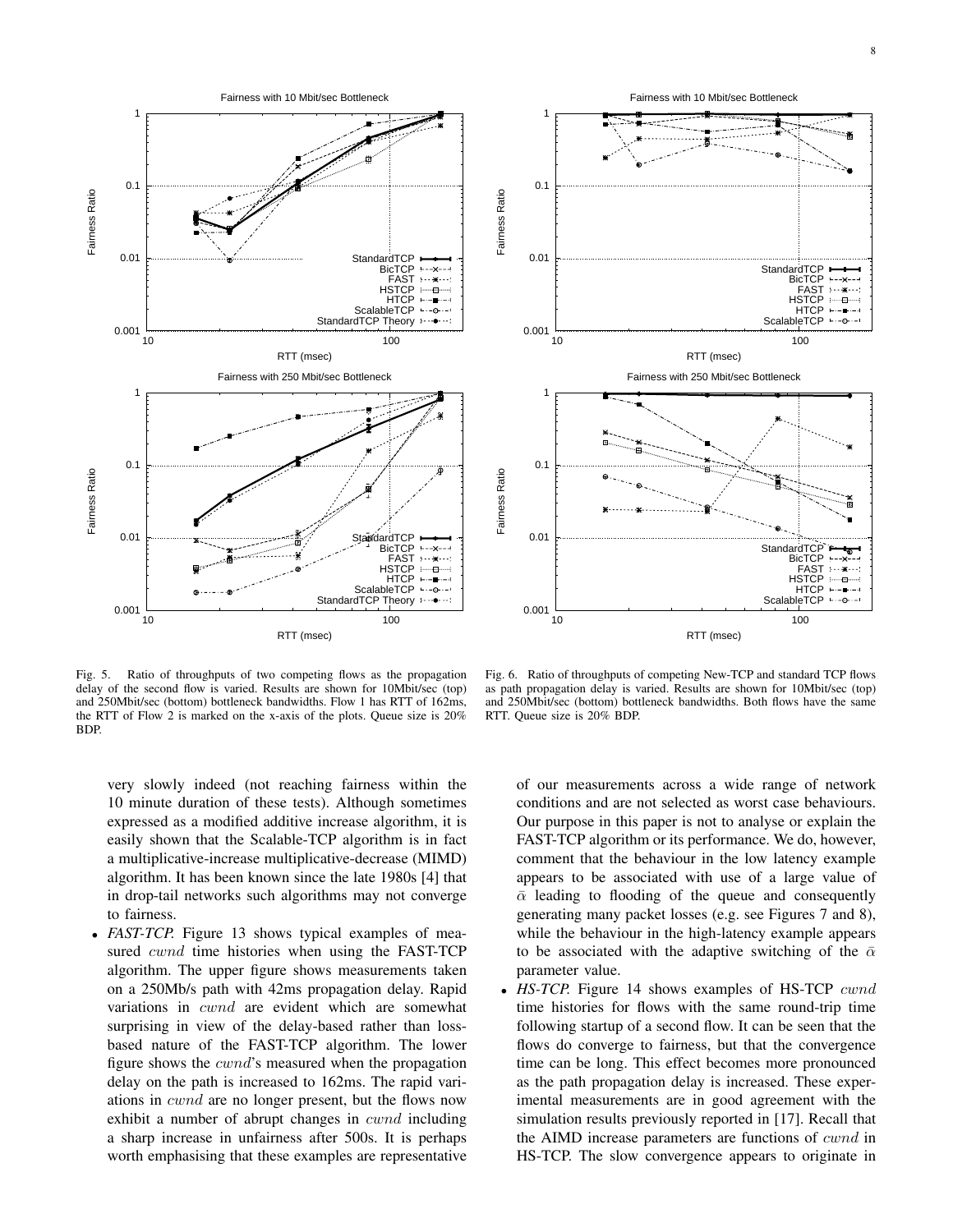



Fig. 5. Ratio of throughputs of two competing flows as the propagation delay of the second flow is varied. Results are shown for 10Mbit/sec (top) and 250Mbit/sec (bottom) bottleneck bandwidths. Flow 1 has RTT of 162ms, the RTT of Flow 2 is marked on the x-axis of the plots. Queue size is 20% BDP.

Fig. 6. Ratio of throughputs of competing New-TCP and standard TCP flows as path propagation delay is varied. Results are shown for 10Mbit/sec (top) and 250Mbit/sec (bottom) bottleneck bandwidths. Both flows have the same RTT. Queue size is 20% BDP.

very slowly indeed (not reaching fairness within the 10 minute duration of these tests). Although sometimes expressed as a modified additive increase algorithm, it is easily shown that the Scalable-TCP algorithm is in fact a multiplicative-increase multiplicative-decrease (MIMD) algorithm. It has been known since the late 1980s [4] that in drop-tail networks such algorithms may not converge to fairness.

• *FAST-TCP*. Figure 13 shows typical examples of measured *cwnd* time histories when using the FAST-TCP algorithm. The upper figure shows measurements taken on a 250Mb/s path with 42ms propagation delay. Rapid variations in cwnd are evident which are somewhat surprising in view of the delay-based rather than lossbased nature of the FAST-TCP algorithm. The lower figure shows the cwnd's measured when the propagation delay on the path is increased to 162ms. The rapid variations in cwnd are no longer present, but the flows now exhibit a number of abrupt changes in *cwnd* including a sharp increase in unfairness after 500s. It is perhaps worth emphasising that these examples are representative of our measurements across a wide range of network conditions and are not selected as worst case behaviours. Our purpose in this paper is not to analyse or explain the FAST-TCP algorithm or its performance. We do, however, comment that the behaviour in the low latency example appears to be associated with use of a large value of  $\bar{\alpha}$  leading to flooding of the queue and consequently generating many packet losses (e.g. see Figures 7 and 8), while the behaviour in the high-latency example appears to be associated with the adaptive switching of the  $\bar{\alpha}$ parameter value.

• *HS-TCP.* Figure 14 shows examples of HS-TCP cwnd time histories for flows with the same round-trip time following startup of a second flow. It can be seen that the flows do converge to fairness, but that the convergence time can be long. This effect becomes more pronounced as the path propagation delay is increased. These experimental measurements are in good agreement with the simulation results previously reported in [17]. Recall that the AIMD increase parameters are functions of cwnd in HS-TCP. The slow convergence appears to originate in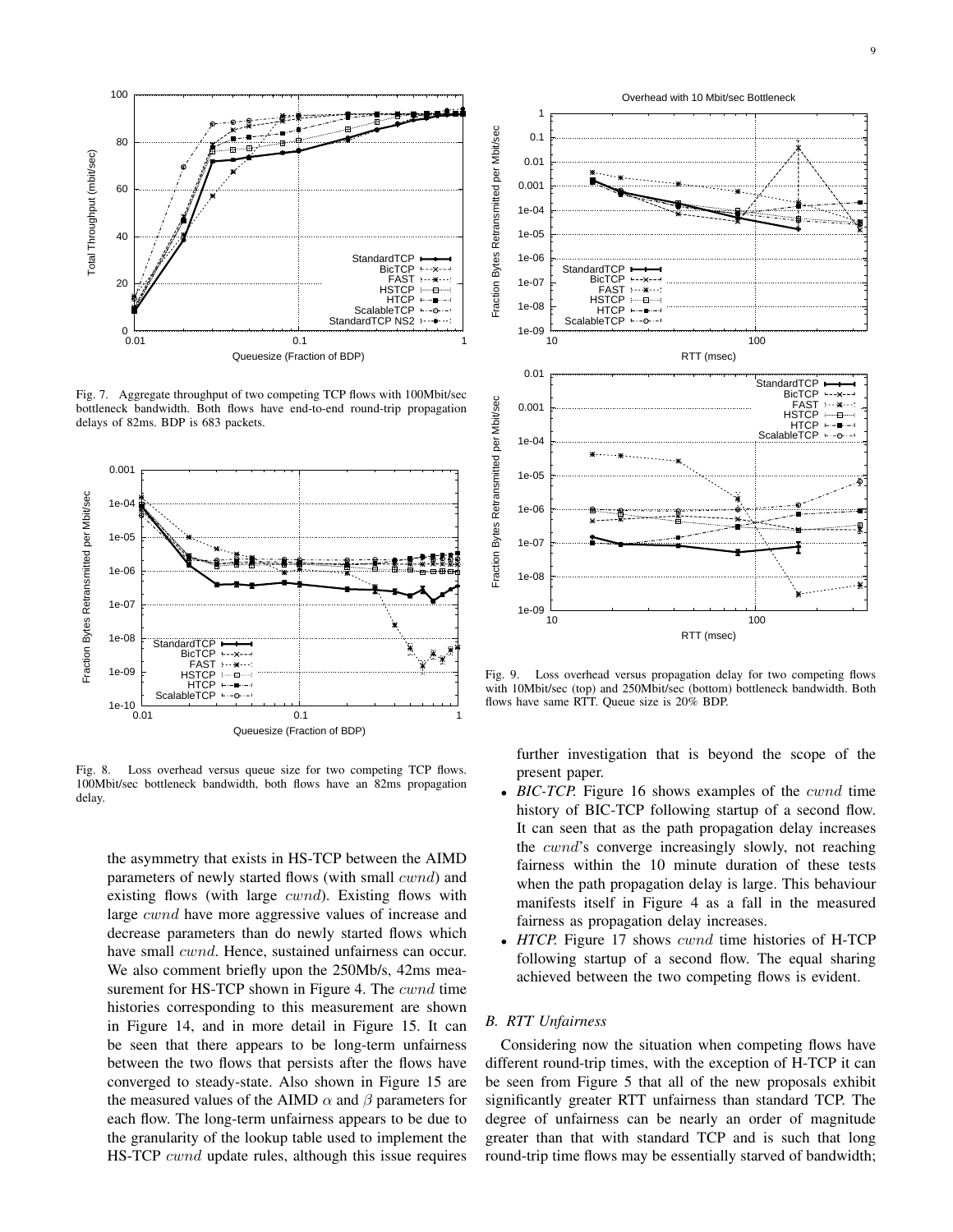

Fig. 7. Aggregate throughput of two competing TCP flows with 100Mbit/sec bottleneck bandwidth. Both flows have end-to-end round-trip propagation delays of 82ms. BDP is 683 packets.



Fig. 8. Loss overhead versus queue size for two competing TCP flows. 100Mbit/sec bottleneck bandwidth, both flows have an 82ms propagation delay.

the asymmetry that exists in HS-TCP between the AIMD parameters of newly started flows (with small cwnd) and existing flows (with large *cwnd*). Existing flows with large cwnd have more aggressive values of increase and decrease parameters than do newly started flows which have small *cwnd*. Hence, sustained unfairness can occur. We also comment briefly upon the 250Mb/s, 42ms measurement for HS-TCP shown in Figure 4. The *cwnd* time histories corresponding to this measurement are shown in Figure 14, and in more detail in Figure 15. It can be seen that there appears to be long-term unfairness between the two flows that persists after the flows have converged to steady-state. Also shown in Figure 15 are the measured values of the AIMD  $\alpha$  and  $\beta$  parameters for each flow. The long-term unfairness appears to be due to the granularity of the lookup table used to implement the HS-TCP *cwnd* update rules, although this issue requires



Fig. 9. Loss overhead versus propagation delay for two competing flows with 10Mbit/sec (top) and 250Mbit/sec (bottom) bottleneck bandwidth. Both flows have same RTT. Queue size is 20% BDP.

further investigation that is beyond the scope of the present paper.

- *BIC-TCP.* Figure 16 shows examples of the cwnd time history of BIC-TCP following startup of a second flow. It can seen that as the path propagation delay increases the cwnd's converge increasingly slowly, not reaching fairness within the 10 minute duration of these tests when the path propagation delay is large. This behaviour manifests itself in Figure 4 as a fall in the measured fairness as propagation delay increases.
- *HTCP*. Figure 17 shows *cwnd* time histories of H-TCP following startup of a second flow. The equal sharing achieved between the two competing flows is evident.

# *B. RTT Unfairness*

Considering now the situation when competing flows have different round-trip times, with the exception of H-TCP it can be seen from Figure 5 that all of the new proposals exhibit significantly greater RTT unfairness than standard TCP. The degree of unfairness can be nearly an order of magnitude greater than that with standard TCP and is such that long round-trip time flows may be essentially starved of bandwidth;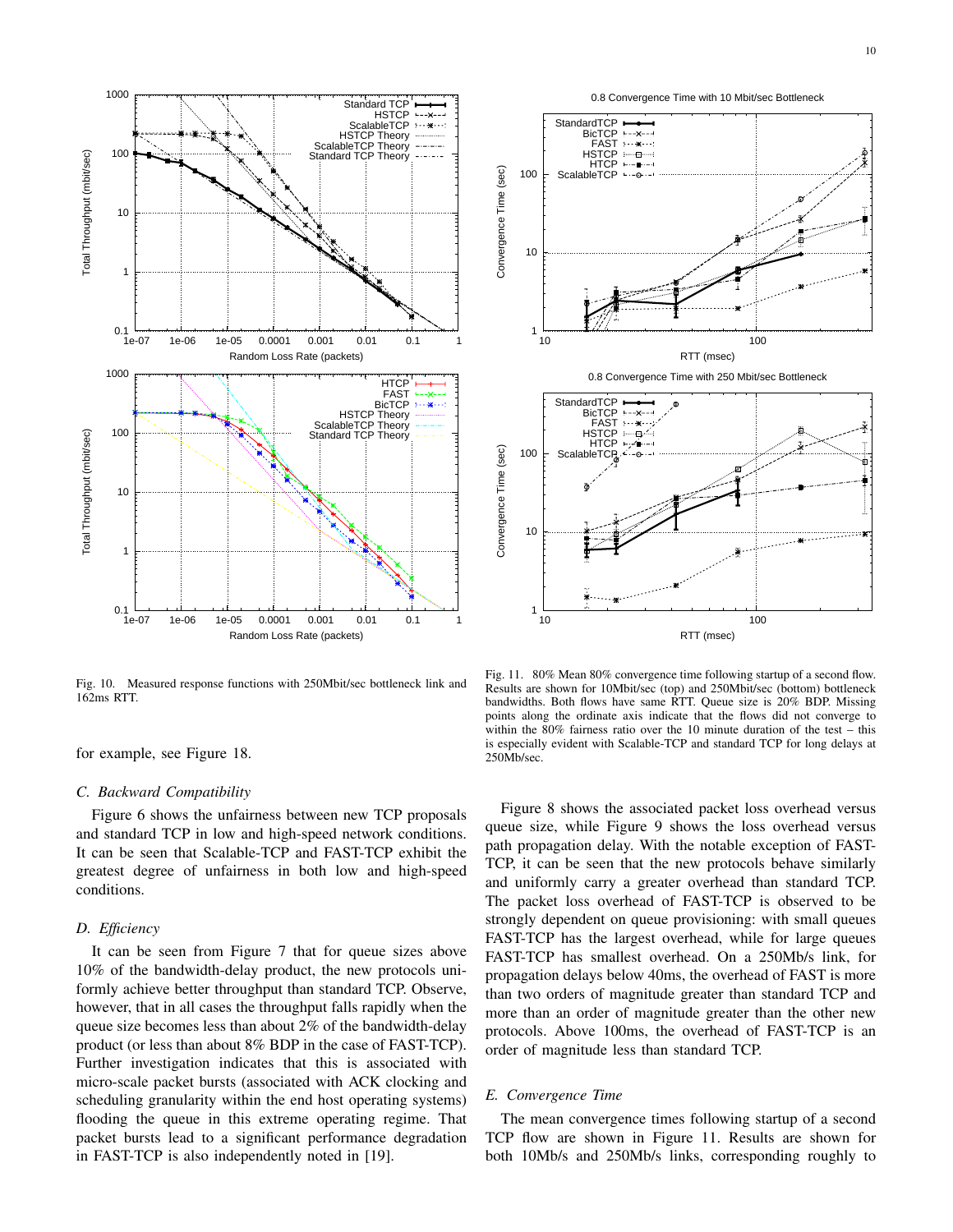

Fig. 10. Measured response functions with 250Mbit/sec bottleneck link and 162ms RTT.

for example, see Figure 18.

#### *C. Backward Compatibility*

Figure 6 shows the unfairness between new TCP proposals and standard TCP in low and high-speed network conditions. It can be seen that Scalable-TCP and FAST-TCP exhibit the greatest degree of unfairness in both low and high-speed conditions.

### *D. Efficiency*

It can be seen from Figure 7 that for queue sizes above 10% of the bandwidth-delay product, the new protocols uniformly achieve better throughput than standard TCP. Observe, however, that in all cases the throughput falls rapidly when the queue size becomes less than about 2% of the bandwidth-delay product (or less than about 8% BDP in the case of FAST-TCP). Further investigation indicates that this is associated with micro-scale packet bursts (associated with ACK clocking and scheduling granularity within the end host operating systems) flooding the queue in this extreme operating regime. That packet bursts lead to a significant performance degradation in FAST-TCP is also independently noted in [19].



Fig. 11. 80% Mean 80% convergence time following startup of a second flow. Results are shown for 10Mbit/sec (top) and 250Mbit/sec (bottom) bottleneck bandwidths. Both flows have same RTT. Queue size is 20% BDP. Missing points along the ordinate axis indicate that the flows did not converge to within the 80% fairness ratio over the 10 minute duration of the test – this is especially evident with Scalable-TCP and standard TCP for long delays at 250Mb/sec.

Figure 8 shows the associated packet loss overhead versus queue size, while Figure 9 shows the loss overhead versus path propagation delay. With the notable exception of FAST-TCP, it can be seen that the new protocols behave similarly and uniformly carry a greater overhead than standard TCP. The packet loss overhead of FAST-TCP is observed to be strongly dependent on queue provisioning: with small queues FAST-TCP has the largest overhead, while for large queues FAST-TCP has smallest overhead. On a 250Mb/s link, for propagation delays below 40ms, the overhead of FAST is more than two orders of magnitude greater than standard TCP and more than an order of magnitude greater than the other new protocols. Above 100ms, the overhead of FAST-TCP is an order of magnitude less than standard TCP.

## *E. Convergence Time*

The mean convergence times following startup of a second TCP flow are shown in Figure 11. Results are shown for both 10Mb/s and 250Mb/s links, corresponding roughly to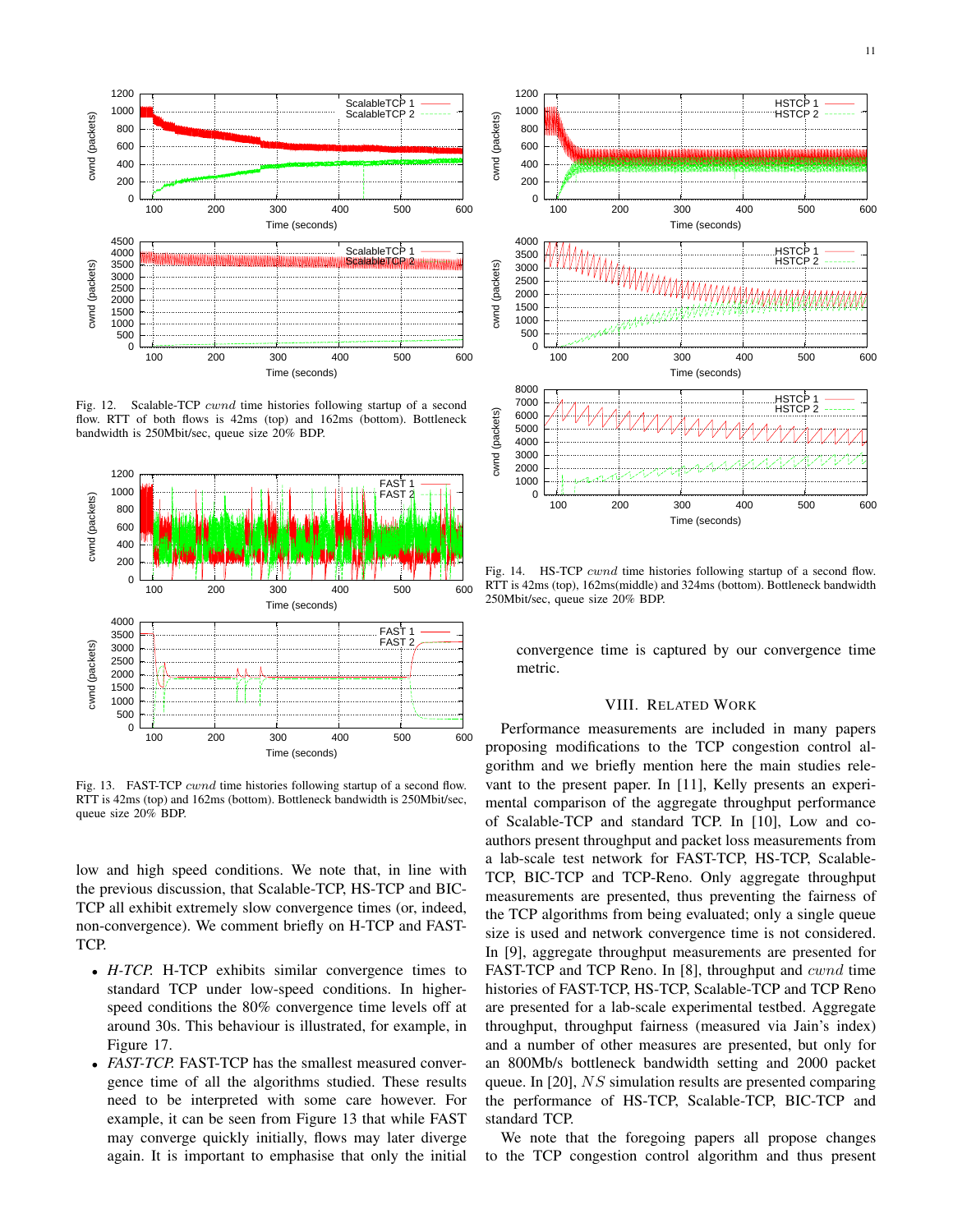

Fig. 12. Scalable-TCP cwnd time histories following startup of a second flow. RTT of both flows is 42ms (top) and 162ms (bottom). Bottleneck bandwidth is 250Mbit/sec, queue size 20% BDP.



Fig. 13. FAST-TCP cwnd time histories following startup of a second flow. RTT is 42ms (top) and 162ms (bottom). Bottleneck bandwidth is 250Mbit/sec, queue size 20% BDP.

low and high speed conditions. We note that, in line with the previous discussion, that Scalable-TCP, HS-TCP and BIC-TCP all exhibit extremely slow convergence times (or, indeed, non-convergence). We comment briefly on H-TCP and FAST-TCP.

- *H-TCP.* H-TCP exhibits similar convergence times to standard TCP under low-speed conditions. In higherspeed conditions the 80% convergence time levels off at around 30s. This behaviour is illustrated, for example, in Figure 17.
- *FAST-TCP*. FAST-TCP has the smallest measured convergence time of all the algorithms studied. These results need to be interpreted with some care however. For example, it can be seen from Figure 13 that while FAST may converge quickly initially, flows may later diverge again. It is important to emphasise that only the initial



Fig. 14. HS-TCP *cwnd* time histories following startup of a second flow. RTT is 42ms (top), 162ms(middle) and 324ms (bottom). Bottleneck bandwidth 250Mbit/sec, queue size 20% BDP.

convergence time is captured by our convergence time metric.

## VIII. RELATED WORK

Performance measurements are included in many papers proposing modifications to the TCP congestion control algorithm and we briefly mention here the main studies relevant to the present paper. In [11], Kelly presents an experimental comparison of the aggregate throughput performance of Scalable-TCP and standard TCP. In [10], Low and coauthors present throughput and packet loss measurements from a lab-scale test network for FAST-TCP, HS-TCP, Scalable-TCP, BIC-TCP and TCP-Reno. Only aggregate throughput measurements are presented, thus preventing the fairness of the TCP algorithms from being evaluated; only a single queue size is used and network convergence time is not considered. In [9], aggregate throughput measurements are presented for FAST-TCP and TCP Reno. In [8], throughput and cwnd time histories of FAST-TCP, HS-TCP, Scalable-TCP and TCP Reno are presented for a lab-scale experimental testbed. Aggregate throughput, throughput fairness (measured via Jain's index) and a number of other measures are presented, but only for an 800Mb/s bottleneck bandwidth setting and 2000 packet queue. In [20], NS simulation results are presented comparing the performance of HS-TCP, Scalable-TCP, BIC-TCP and standard TCP.

We note that the foregoing papers all propose changes to the TCP congestion control algorithm and thus present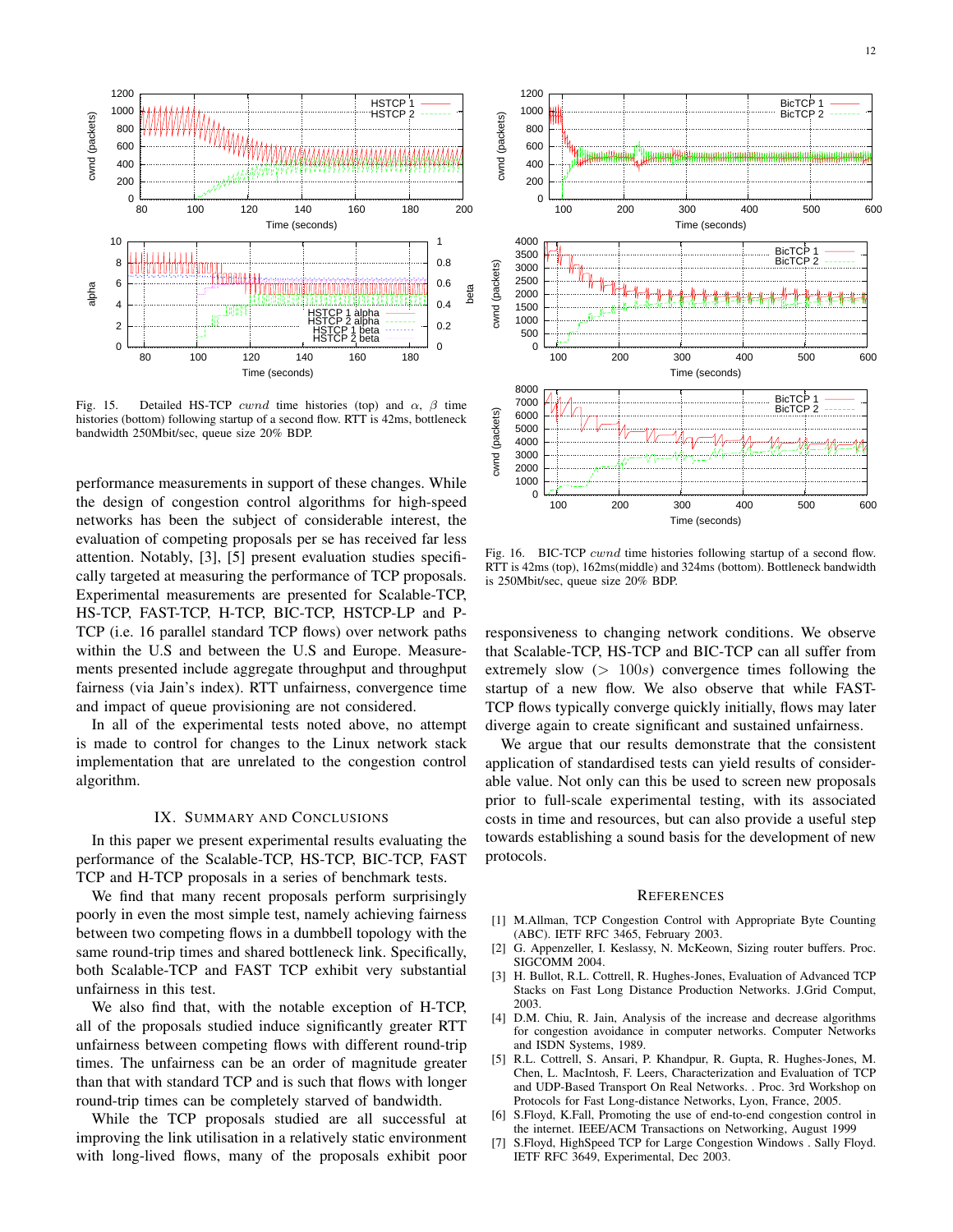

Fig. 15. Detailed HS-TCP *cwnd* time histories (top) and  $\alpha$ ,  $\beta$  time histories (bottom) following startup of a second flow. RTT is 42ms, bottleneck bandwidth 250Mbit/sec, queue size 20% BDP.

performance measurements in support of these changes. While the design of congestion control algorithms for high-speed networks has been the subject of considerable interest, the evaluation of competing proposals per se has received far less attention. Notably, [3], [5] present evaluation studies specifically targeted at measuring the performance of TCP proposals. Experimental measurements are presented for Scalable-TCP, HS-TCP, FAST-TCP, H-TCP, BIC-TCP, HSTCP-LP and P-TCP (i.e. 16 parallel standard TCP flows) over network paths within the U.S and between the U.S and Europe. Measurements presented include aggregate throughput and throughput fairness (via Jain's index). RTT unfairness, convergence time and impact of queue provisioning are not considered.

In all of the experimental tests noted above, no attempt is made to control for changes to the Linux network stack implementation that are unrelated to the congestion control algorithm.

## IX. SUMMARY AND CONCLUSIONS

In this paper we present experimental results evaluating the performance of the Scalable-TCP, HS-TCP, BIC-TCP, FAST TCP and H-TCP proposals in a series of benchmark tests.

We find that many recent proposals perform surprisingly poorly in even the most simple test, namely achieving fairness between two competing flows in a dumbbell topology with the same round-trip times and shared bottleneck link. Specifically, both Scalable-TCP and FAST TCP exhibit very substantial unfairness in this test.

We also find that, with the notable exception of H-TCP, all of the proposals studied induce significantly greater RTT unfairness between competing flows with different round-trip times. The unfairness can be an order of magnitude greater than that with standard TCP and is such that flows with longer round-trip times can be completely starved of bandwidth.

While the TCP proposals studied are all successful at improving the link utilisation in a relatively static environment with long-lived flows, many of the proposals exhibit poor



Fig. 16. BIC-TCP *cwnd* time histories following startup of a second flow. RTT is 42ms (top), 162ms(middle) and 324ms (bottom). Bottleneck bandwidth is 250Mbit/sec, queue size 20% BDP.

responsiveness to changing network conditions. We observe that Scalable-TCP, HS-TCP and BIC-TCP can all suffer from extremely slow  $(> 100s)$  convergence times following the startup of a new flow. We also observe that while FAST-TCP flows typically converge quickly initially, flows may later diverge again to create significant and sustained unfairness.

We argue that our results demonstrate that the consistent application of standardised tests can yield results of considerable value. Not only can this be used to screen new proposals prior to full-scale experimental testing, with its associated costs in time and resources, but can also provide a useful step towards establishing a sound basis for the development of new protocols.

#### **REFERENCES**

- [1] M.Allman, TCP Congestion Control with Appropriate Byte Counting (ABC). IETF RFC 3465, February 2003.
- [2] G. Appenzeller, I. Keslassy, N. McKeown, Sizing router buffers. Proc. SIGCOMM 2004.
- [3] H. Bullot, R.L. Cottrell, R. Hughes-Jones, Evaluation of Advanced TCP Stacks on Fast Long Distance Production Networks. J.Grid Comput, 2003.
- [4] D.M. Chiu, R. Jain, Analysis of the increase and decrease algorithms for congestion avoidance in computer networks. Computer Networks and ISDN Systems, 1989.
- [5] R.L. Cottrell, S. Ansari, P. Khandpur, R. Gupta, R. Hughes-Jones, M. Chen, L. MacIntosh, F. Leers, Characterization and Evaluation of TCP and UDP-Based Transport On Real Networks. . Proc. 3rd Workshop on Protocols for Fast Long-distance Networks, Lyon, France, 2005.
- [6] S.Floyd, K.Fall, Promoting the use of end-to-end congestion control in the internet. IEEE/ACM Transactions on Networking, August 1999
- [7] S.Floyd, HighSpeed TCP for Large Congestion Windows . Sally Floyd. IETF RFC 3649, Experimental, Dec 2003.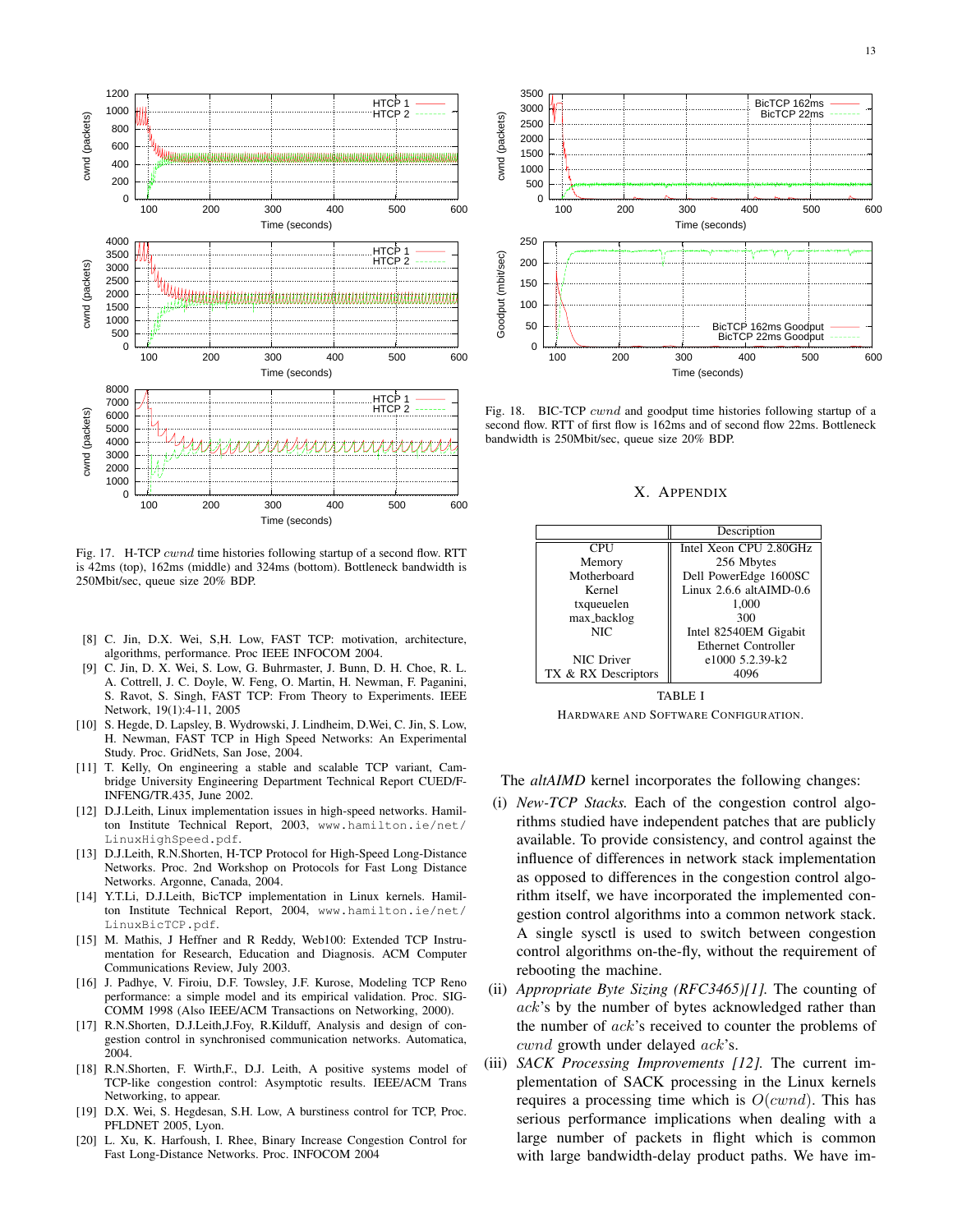

Fig. 17. H-TCP cwnd time histories following startup of a second flow. RTT is 42ms (top), 162ms (middle) and 324ms (bottom). Bottleneck bandwidth is 250Mbit/sec, queue size 20% BDP.

- [8] C. Jin, D.X. Wei, S,H. Low, FAST TCP: motivation, architecture, algorithms, performance. Proc IEEE INFOCOM 2004.
- [9] C. Jin, D. X. Wei, S. Low, G. Buhrmaster, J. Bunn, D. H. Choe, R. L. A. Cottrell, J. C. Doyle, W. Feng, O. Martin, H. Newman, F. Paganini, S. Ravot, S. Singh, FAST TCP: From Theory to Experiments. IEEE Network, 19(1):4-11, 2005
- [10] S. Hegde, D. Lapsley, B. Wydrowski, J. Lindheim, D.Wei, C. Jin, S. Low, H. Newman, FAST TCP in High Speed Networks: An Experimental Study. Proc. GridNets, San Jose, 2004.
- [11] T. Kelly, On engineering a stable and scalable TCP variant, Cambridge University Engineering Department Technical Report CUED/F-INFENG/TR.435, June 2002.
- [12] D.J.Leith, Linux implementation issues in high-speed networks. Hamilton Institute Technical Report, 2003, www.hamilton.ie/net/ LinuxHighSpeed.pdf.
- [13] D.J.Leith, R.N.Shorten, H-TCP Protocol for High-Speed Long-Distance Networks. Proc. 2nd Workshop on Protocols for Fast Long Distance Networks. Argonne, Canada, 2004.
- [14] Y.T.Li, D.J.Leith, BicTCP implementation in Linux kernels. Hamilton Institute Technical Report, 2004, www.hamilton.ie/net/ LinuxBicTCP.pdf.
- [15] M. Mathis, J Heffner and R Reddy, Web100: Extended TCP Instrumentation for Research, Education and Diagnosis. ACM Computer Communications Review, July 2003.
- [16] J. Padhye, V. Firoiu, D.F. Towsley, J.F. Kurose, Modeling TCP Reno performance: a simple model and its empirical validation. Proc. SIG-COMM 1998 (Also IEEE/ACM Transactions on Networking, 2000).
- [17] R.N.Shorten, D.J.Leith,J.Foy, R.Kilduff, Analysis and design of congestion control in synchronised communication networks. Automatica, 2004.
- [18] R.N.Shorten, F. Wirth, F., D.J. Leith, A positive systems model of TCP-like congestion control: Asymptotic results. IEEE/ACM Trans Networking, to appear.
- [19] D.X. Wei, S. Hegdesan, S.H. Low, A burstiness control for TCP, Proc. PFLDNET 2005, Lyon.
- [20] L. Xu, K. Harfoush, I. Rhee, Binary Increase Congestion Control for Fast Long-Distance Networks. Proc. INFOCOM 2004



Fig. 18. BIC-TCP cwnd and goodput time histories following startup of a second flow. RTT of first flow is 162ms and of second flow 22ms. Bottleneck bandwidth is 250Mbit/sec, queue size 20% BDP.

#### X. APPENDIX

|                     | Description                |
|---------------------|----------------------------|
| <b>CPU</b>          | Intel Xeon CPU 2.80GHz     |
| Memory              | 256 Mbytes                 |
| Motherboard         | Dell PowerEdge 1600SC      |
| Kernel              | Linux $2.6.6$ altAIMD-0.6  |
| txqueuelen          | 1,000                      |
| max_backlog         | 300                        |
| NIC                 | Intel 82540EM Gigabit      |
|                     | <b>Ethernet Controller</b> |
| NIC Driver          | e1000 5.2.39-k2            |
| TX & RX Descriptors |                            |

TABLE I HARDWARE AND SOFTWARE CONFIGURATION.

The *altAIMD* kernel incorporates the following changes:

- (i) *New-TCP Stacks.* Each of the congestion control algorithms studied have independent patches that are publicly available. To provide consistency, and control against the influence of differences in network stack implementation as opposed to differences in the congestion control algorithm itself, we have incorporated the implemented congestion control algorithms into a common network stack. A single sysctl is used to switch between congestion control algorithms on-the-fly, without the requirement of rebooting the machine.
- (ii) *Appropriate Byte Sizing (RFC3465)[1].* The counting of ack's by the number of bytes acknowledged rather than the number of ack's received to counter the problems of  $cwnd$  growth under delayed  $ack$ 's.
- (iii) *SACK Processing Improvements [12].* The current implementation of SACK processing in the Linux kernels requires a processing time which is  $O(cwnd)$ . This has serious performance implications when dealing with a large number of packets in flight which is common with large bandwidth-delay product paths. We have im-